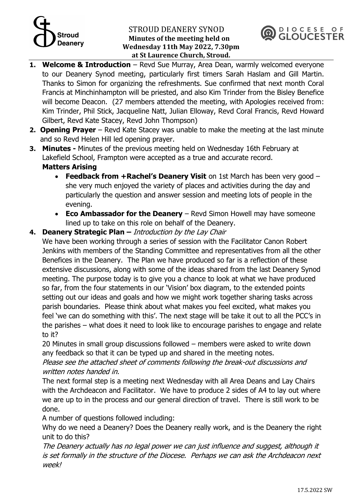# $\overline{\mathcal{L}}$ **Deanery**

#### STROUD DEANERY SYNOD **Minutes of the meeting held on Wednesday 11th May 2022, 7.30pm at St Laurence Church, Stroud.**



- **1. Welcome & Introduction** Revd Sue Murray, Area Dean, warmly welcomed everyone to our Deanery Synod meeting, particularly first timers Sarah Haslam and Gill Martin. Thanks to Simon for organizing the refreshments. Sue confirmed that next month Coral Francis at Minchinhampton will be priested, and also Kim Trinder from the Bisley Benefice will become Deacon. (27 members attended the meeting, with Apologies received from: Kim Trinder, Phil Stick, Jacqueline Natt, Julian Elloway, Revd Coral Francis, Revd Howard Gilbert, Revd Kate Stacey, Revd John Thompson)
- **2. Opening Prayer** Revd Kate Stacey was unable to make the meeting at the last minute and so Revd Helen Hill led opening prayer.
- **3. Minutes -** Minutes of the previous meeting held on Wednesday 16th February at Lakefield School, Frampton were accepted as a true and accurate record. **Matters Arising** 
	- **Feedback from +Rachel's Deanery Visit** on 1st March has been very good she very much enjoyed the variety of places and activities during the day and particularly the question and answer session and meeting lots of people in the evening.
	- **Eco Ambassador for the Deanery** Revd Simon Howell may have someone lined up to take on this role on behalf of the Deanery.

#### **4. Deanery Strategic Plan –** Introduction by the Lay Chair

We have been working through a series of session with the Facilitator Canon Robert Jenkins with members of the Standing Committee and representatives from all the other Benefices in the Deanery. The Plan we have produced so far is a reflection of these extensive discussions, along with some of the ideas shared from the last Deanery Synod meeting. The purpose today is to give you a chance to look at what we have produced so far, from the four statements in our 'Vision' box diagram, to the extended points setting out our ideas and goals and how we might work together sharing tasks across parish boundaries. Please think about what makes you feel excited, what makes you feel 'we can do something with this'. The next stage will be take it out to all the PCC's in the parishes – what does it need to look like to encourage parishes to engage and relate to it?

20 Minutes in small group discussions followed – members were asked to write down any feedback so that it can be typed up and shared in the meeting notes.

Please see the attached sheet of comments following the break-out discussions and written notes handed in.

The next formal step is a meeting next Wednesday with all Area Deans and Lay Chairs with the Archdeacon and Facilitator. We have to produce 2 sides of A4 to lay out where we are up to in the process and our general direction of travel. There is still work to be done.

A number of questions followed including:

Why do we need a Deanery? Does the Deanery really work, and is the Deanery the right unit to do this?

The Deanery actually has no legal power we can just influence and suggest, although it is set formally in the structure of the Diocese. Perhaps we can ask the Archdeacon next week!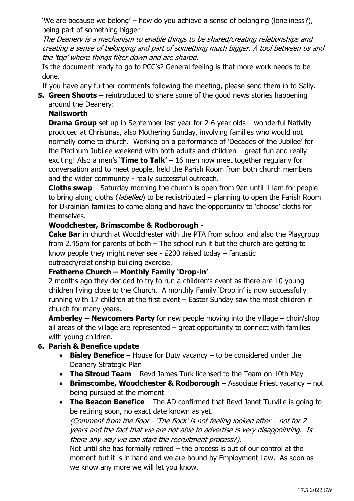'We are because we belong' – how do you achieve a sense of belonging (loneliness?), being part of something bigger

The Deanery is a mechanism to enable things to be shared/creating relationships and creating a sense of belonging and part of something much bigger. A tool between us and the 'top' where things filter down and are shared.

Is the document ready to go to PCC's? General feeling is that more work needs to be done.

If you have any further comments following the meeting, please send them in to Sally.

**5. Green Shoots –** reintroduced to share some of the good news stories happening around the Deanery:

### **Nailsworth**

**Drama Group** set up in September last year for 2-6 year olds – wonderful Nativity produced at Christmas, also Mothering Sunday, involving families who would not normally come to church. Working on a performance of 'Decades of the Jubilee' for the Platinum Jubilee weekend with both adults and children – great fun and really exciting! Also a men's '**Time to Talk'** – 16 men now meet together regularly for conversation and to meet people, held the Parish Room from both church members and the wider community - really successful outreach.

**Cloths swap** – Saturday morning the church is open from 9an until 11am for people to bring along cloths (*labelled*) to be redistributed  $-$  planning to open the Parish Room for Ukrainian families to come along and have the opportunity to 'choose' cloths for themselves.

#### **Woodchester, Brimscombe & Rodborough -**

**Cake Bar** in church at Woodchester with the PTA from school and also the Playgroup from 2.45pm for parents of both – The school run it but the church are getting to know people they might never see - £200 raised today – fantastic outreach/relationship building exercise.

#### **Fretherne Church – Monthly Family 'Drop-in'**

2 months ago they decided to try to run a children's event as there are 10 young children living close to the Church. A monthly Family 'Drop in' is now successfully running with 17 children at the first event – Easter Sunday saw the most children in church for many years.

**Amberley – Newcomers Party** for new people moving into the village – choir/shop all areas of the village are represented – great opportunity to connect with families with young children.

#### **6. Parish & Benefice update**

- **Bisley Benefice** House for Duty vacancy to be considered under the Deanery Strategic Plan
- The **Stroud Team** Revd James Turk licensed to the Team on 10th May
- **Brimscombe, Woodchester & Rodborough** Associate Priest vacancy not being pursued at the moment
- **The Beacon Benefice** The AD confirmed that Revd Janet Turville is going to be retiring soon, no exact date known as yet.

(Comment from the floor - 'The flock' is not feeling looked after – not for 2 years and the fact that we are not able to advertise is very disappointing. Is there any way we can start the recruitment process?).

Not until she has formally retired – the process is out of our control at the moment but it is in hand and we are bound by Employment Law. As soon as we know any more we will let you know.